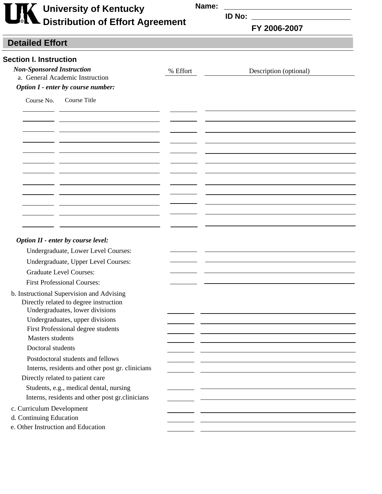| <b>THE University of Kentucky<br/>Distribution of Effort Agreement</b> |
|------------------------------------------------------------------------|
|                                                                        |

**Name:** 

**ID No:**

**FY 2006-2007 Page 2 of 5**

## **Detailed Effort**

| <b>Section I. Instruction</b>                                             |          |                                                                                                                  |
|---------------------------------------------------------------------------|----------|------------------------------------------------------------------------------------------------------------------|
| <b>Non-Sponsored Instruction</b><br>a. General Academic Instruction       | % Effort | Description (optional)                                                                                           |
| Option I - enter by course number:                                        |          |                                                                                                                  |
| Course Title<br>Course No.                                                |          |                                                                                                                  |
|                                                                           |          |                                                                                                                  |
|                                                                           |          |                                                                                                                  |
|                                                                           |          |                                                                                                                  |
|                                                                           |          |                                                                                                                  |
|                                                                           |          |                                                                                                                  |
|                                                                           |          |                                                                                                                  |
|                                                                           |          |                                                                                                                  |
|                                                                           |          |                                                                                                                  |
|                                                                           |          |                                                                                                                  |
|                                                                           |          |                                                                                                                  |
|                                                                           |          |                                                                                                                  |
|                                                                           |          |                                                                                                                  |
|                                                                           |          |                                                                                                                  |
| Option II - enter by course level:<br>Undergraduate, Lower Level Courses: |          |                                                                                                                  |
| Undergraduate, Upper Level Courses:                                       |          |                                                                                                                  |
| <b>Graduate Level Courses:</b>                                            |          |                                                                                                                  |
| <b>First Professional Courses:</b>                                        |          |                                                                                                                  |
| b. Instructional Supervision and Advising                                 |          |                                                                                                                  |
| Directly related to degree instruction                                    |          |                                                                                                                  |
| Undergraduates, lower divisions                                           |          |                                                                                                                  |
| Undergraduates, upper divisions                                           |          |                                                                                                                  |
| First Professional degree students                                        |          |                                                                                                                  |
| <b>Masters students</b>                                                   |          |                                                                                                                  |
| Doctoral students                                                         |          |                                                                                                                  |
| Postdoctoral students and fellows                                         |          |                                                                                                                  |
| Interns, residents and other post gr. clinicians                          |          |                                                                                                                  |
| Directly related to patient care                                          |          |                                                                                                                  |
| Students, e.g., medical dental, nursing                                   |          |                                                                                                                  |
| Interns, residents and other post gr.clinicians                           |          |                                                                                                                  |
| c. Curriculum Development                                                 |          |                                                                                                                  |
| d. Continuing Education                                                   |          | and the control of the control of the control of the control of the control of the control of the control of the |
| e. Other Instruction and Education                                        |          |                                                                                                                  |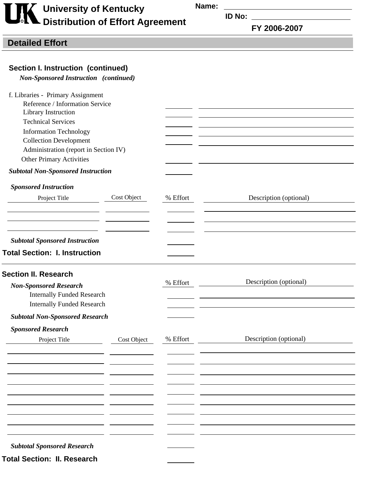**Name:** 

## **University of Kentucky Distribution of Effort Agreement**

**ID No:**

**FY 2006-2007 Page 2 of 5**

## **Detailed Effort**

*Non-Sponsored Instruction (continued)*

| f. Libraries - Primary Assignment                |             |          |                        |
|--------------------------------------------------|-------------|----------|------------------------|
| Reference / Information Service                  |             |          |                        |
| Library Instruction<br><b>Technical Services</b> |             |          |                        |
|                                                  |             |          |                        |
| <b>Information Technology</b>                    |             |          |                        |
| <b>Collection Development</b>                    |             |          |                        |
| Administration (report in Section IV)            |             |          |                        |
| <b>Other Primary Activities</b>                  |             |          |                        |
| <b>Subtotal Non-Sponsored Instruction</b>        |             |          |                        |
| <b>Sponsored Instruction</b>                     |             |          |                        |
| Project Title                                    | Cost Object | % Effort | Description (optional) |
|                                                  |             |          |                        |
| <b>Subtotal Sponsored Instruction</b>            |             |          |                        |
| <b>Total Section: I. Instruction</b>             |             |          |                        |
|                                                  |             |          |                        |
| <b>Section II. Research</b>                      |             |          |                        |
| <b>Non-Sponsored Research</b>                    |             | % Effort | Description (optional) |
| <b>Internally Funded Research</b>                |             |          |                        |
| <b>Internally Funded Research</b>                |             |          |                        |
| <b>Subtotal Non-Sponsored Research</b>           |             |          |                        |
| <b>Sponsored Research</b>                        |             |          |                        |
| Project Title                                    | Cost Object | % Effort | Description (optional) |
|                                                  |             |          |                        |
|                                                  |             |          |                        |
|                                                  |             |          |                        |
|                                                  |             |          |                        |
|                                                  |             |          |                        |
|                                                  |             |          |                        |
|                                                  |             |          |                        |
|                                                  |             |          |                        |
| <b>Subtotal Sponsored Research</b>               |             |          |                        |
| <b>Total Section: II. Research</b>               |             |          |                        |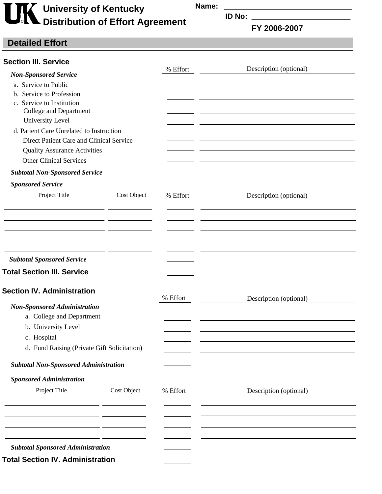**University of Kentucky Distribution of Effort Agreement**  **Name:** 

**ID No:**

**FY 2006-2007 Page 2 of 5**

## **Detailed Effort**

| <b>Section III. Service</b>                  |             |          |                        |
|----------------------------------------------|-------------|----------|------------------------|
| <b>Non-Sponsored Service</b>                 |             | % Effort | Description (optional) |
| a. Service to Public                         |             |          |                        |
| b. Service to Profession                     |             |          |                        |
| c. Service to Institution                    |             |          |                        |
| College and Department                       |             |          |                        |
| University Level                             |             |          |                        |
| d. Patient Care Unrelated to Instruction     |             |          |                        |
| Direct Patient Care and Clinical Service     |             |          |                        |
| <b>Quality Assurance Activities</b>          |             |          |                        |
| <b>Other Clinical Services</b>               |             |          |                        |
| <b>Subtotal Non-Sponsored Service</b>        |             |          |                        |
| <b>Sponsored Service</b>                     |             |          |                        |
| Project Title                                | Cost Object | % Effort | Description (optional) |
|                                              |             |          |                        |
|                                              |             |          |                        |
|                                              |             |          |                        |
|                                              |             |          |                        |
|                                              |             |          |                        |
| <b>Subtotal Sponsored Service</b>            |             |          |                        |
| <b>Total Section III. Service</b>            |             |          |                        |
|                                              |             |          |                        |
| <b>Section IV. Administration</b>            |             | % Effort | Description (optional) |
| <b>Non-Sponsored Administration</b>          |             |          |                        |
| a. College and Department                    |             |          |                        |
| b. University Level                          |             |          |                        |
| c. Hospital                                  |             |          |                        |
| d. Fund Raising (Private Gift Solicitation)  |             |          |                        |
|                                              |             |          |                        |
| <b>Subtotal Non-Sponsored Administration</b> |             |          |                        |
| <b>Sponsored Administration</b>              |             |          |                        |
| Project Title                                | Cost Object | % Effort | Description (optional) |
|                                              |             |          |                        |
|                                              |             |          |                        |
|                                              |             |          |                        |
|                                              |             |          |                        |
| <b>Subtotal Sponsored Administration</b>     |             |          |                        |
|                                              |             |          |                        |
| <b>Total Section IV. Administration</b>      |             |          |                        |